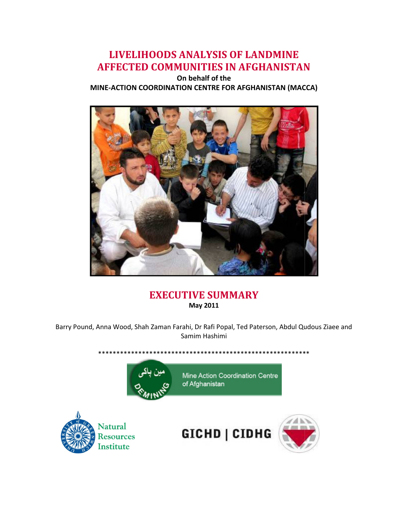# LIVELIHOODS ANALYSIS OF LANDMINE LIVELIHOODS ANALYSIS AFFECTED COMMUNITIES IN AFGHANISTAN

MINE-ACTION COORDINATION CENTRE FOR AFGHANISTAN (MACCA) On behalf of the



## EXECUTIVE SUMMARY May 2011

Barry Pound, Anna Wood, Shah Zaman Farahi, Dr Rafi Popal, Ted Paterson, Abdul Qudous Ziaee and Samim Hashimi

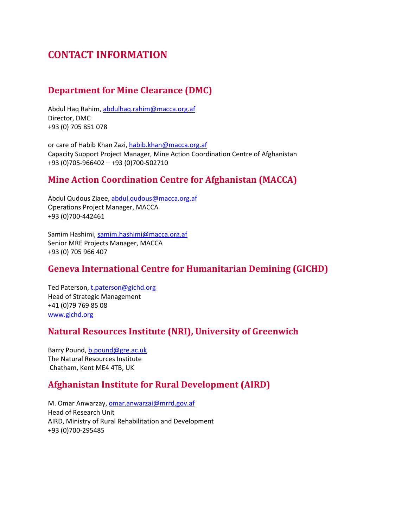## CONTACT INFORMATION

## Department for Mine Clearance (DMC)

Abdul Haq Rahim, abdulhaq.rahim@macca.org.af Director, DMC +93 (0) 705 851 078

or care of Habib Khan Zazi, habib.khan@macca.org.af Capacity Support Project Manager, Mine Action Coordination Centre of Afghanistan +93 (0)705-966402 – +93 (0)700-502710

## Mine Action Coordination Centre for Afghanistan (MACCA)

Abdul Qudous Ziaee, abdul.qudous@macca.org.af Operations Project Manager, MACCA +93 (0)700-442461

Samim Hashimi, samim.hashimi@macca.org.af Senior MRE Projects Manager, MACCA +93 (0) 705 966 407

## Geneva International Centre for Humanitarian Demining (GICHD)

Ted Paterson, t.paterson@gichd.org Head of Strategic Management +41 (0)79 769 85 08 www.gichd.org

### Natural Resources Institute (NRI), University of Greenwich

Barry Pound, b.pound@gre.ac.uk The Natural Resources Institute Chatham, Kent ME4 4TB, UK

### Afghanistan Institute for Rural Development (AIRD)

M. Omar Anwarzay, omar.anwarzai@mrrd.gov.af Head of Research Unit AIRD, Ministry of Rural Rehabilitation and Development +93 (0)700-295485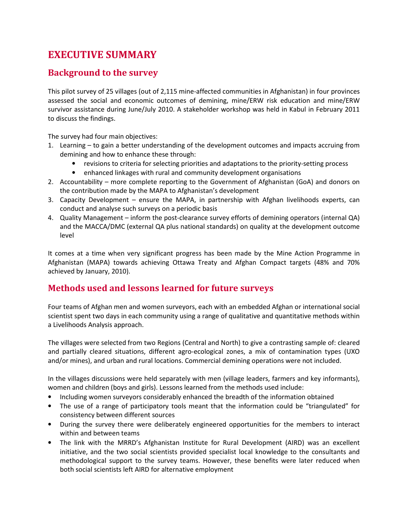# EXECUTIVE SUMMARY

#### Background to the survey

This pilot survey of 25 villages (out of 2,115 mine-affected communities in Afghanistan) in four provinces assessed the social and economic outcomes of demining, mine/ERW risk education and mine/ERW survivor assistance during June/July 2010. A stakeholder workshop was held in Kabul in February 2011 to discuss the findings.

The survey had four main objectives:

- 1. Learning to gain a better understanding of the development outcomes and impacts accruing from demining and how to enhance these through:
	- revisions to criteria for selecting priorities and adaptations to the priority-setting process
	- enhanced linkages with rural and community development organisations
- 2. Accountability more complete reporting to the Government of Afghanistan (GoA) and donors on the contribution made by the MAPA to Afghanistan's development
- 3. Capacity Development ensure the MAPA, in partnership with Afghan livelihoods experts, can conduct and analyse such surveys on a periodic basis
- 4. Quality Management inform the post-clearance survey efforts of demining operators (internal QA) and the MACCA/DMC (external QA plus national standards) on quality at the development outcome level

It comes at a time when very significant progress has been made by the Mine Action Programme in Afghanistan (MAPA) towards achieving Ottawa Treaty and Afghan Compact targets (48% and 70% achieved by January, 2010).

### Methods used and lessons learned for future surveys

Four teams of Afghan men and women surveyors, each with an embedded Afghan or international social scientist spent two days in each community using a range of qualitative and quantitative methods within a Livelihoods Analysis approach.

The villages were selected from two Regions (Central and North) to give a contrasting sample of: cleared and partially cleared situations, different agro-ecological zones, a mix of contamination types (UXO and/or mines), and urban and rural locations. Commercial demining operations were not included.

In the villages discussions were held separately with men (village leaders, farmers and key informants), women and children (boys and girls). Lessons learned from the methods used include:

- Including women surveyors considerably enhanced the breadth of the information obtained
- The use of a range of participatory tools meant that the information could be "triangulated" for consistency between different sources
- During the survey there were deliberately engineered opportunities for the members to interact within and between teams
- The link with the MRRD's Afghanistan Institute for Rural Development (AIRD) was an excellent initiative, and the two social scientists provided specialist local knowledge to the consultants and methodological support to the survey teams. However, these benefits were later reduced when both social scientists left AIRD for alternative employment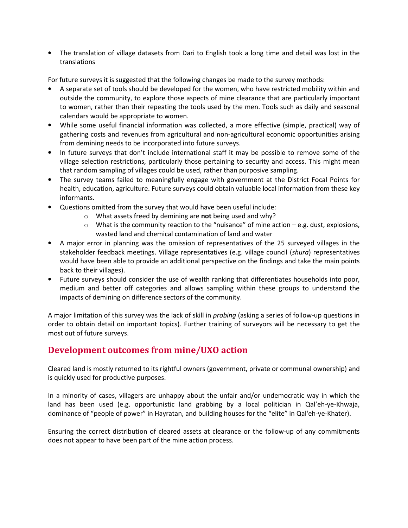• The translation of village datasets from Dari to English took a long time and detail was lost in the translations

For future surveys it is suggested that the following changes be made to the survey methods:

- A separate set of tools should be developed for the women, who have restricted mobility within and outside the community, to explore those aspects of mine clearance that are particularly important to women, rather than their repeating the tools used by the men. Tools such as daily and seasonal calendars would be appropriate to women.
- While some useful financial information was collected, a more effective (simple, practical) way of gathering costs and revenues from agricultural and non-agricultural economic opportunities arising from demining needs to be incorporated into future surveys.
- In future surveys that don't include international staff it may be possible to remove some of the village selection restrictions, particularly those pertaining to security and access. This might mean that random sampling of villages could be used, rather than purposive sampling.
- The survey teams failed to meaningfully engage with government at the District Focal Points for health, education, agriculture. Future surveys could obtain valuable local information from these key informants.
- Questions omitted from the survey that would have been useful include:
	- $\circ$  What assets freed by demining are not being used and why?
	- $\circ$  What is the community reaction to the "nuisance" of mine action e.g. dust, explosions, wasted land and chemical contamination of land and water
- A major error in planning was the omission of representatives of the 25 surveyed villages in the stakeholder feedback meetings. Village representatives (e.g. village council (shura) representatives would have been able to provide an additional perspective on the findings and take the main points back to their villages).
- Future surveys should consider the use of wealth ranking that differentiates households into poor, medium and better off categories and allows sampling within these groups to understand the impacts of demining on difference sectors of the community.

A major limitation of this survey was the lack of skill in probing (asking a series of follow-up questions in order to obtain detail on important topics). Further training of surveyors will be necessary to get the most out of future surveys.

### Development outcomes from mine/UXO action

Cleared land is mostly returned to its rightful owners (government, private or communal ownership) and is quickly used for productive purposes.

In a minority of cases, villagers are unhappy about the unfair and/or undemocratic way in which the land has been used (e.g. opportunistic land grabbing by a local politician in Qal'eh-ye-Khwaja, dominance of "people of power" in Hayratan, and building houses for the "elite" in Qal'eh-ye-Khater).

Ensuring the correct distribution of cleared assets at clearance or the follow-up of any commitments does not appear to have been part of the mine action process.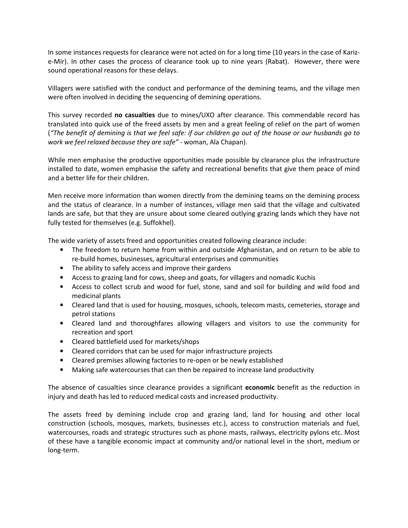In some instances requests for clearance were not acted on for a long time (10 years in the case of Karize-Mir). In other cases the process of clearance took up to nine years (Rabat). However, there were sound operational reasons for these delays.

Villagers were satisfied with the conduct and performance of the demining teams, and the village men were often involved in deciding the sequencing of demining operations.

This survey recorded no casualties due to mines/UXO after clearance. This commendable record has translated into quick use of the freed assets by men and a great feeling of relief on the part of women ("The benefit of demining is that we feel safe: if our children go out of the house or our husbands go to work we feel relaxed because they are safe" - woman, Ala Chapan).

While men emphasise the productive opportunities made possible by clearance plus the infrastructure installed to date, women emphasise the safety and recreational benefits that give them peace of mind and a better life for their children.

Men receive more information than women directly from the demining teams on the demining process and the status of clearance. In a number of instances, village men said that the village and cultivated lands are safe, but that they are unsure about some cleared outlying grazing lands which they have not fully tested for themselves (e.g. Suffokhel).

The wide variety of assets freed and opportunities created following clearance include:

- The freedom to return home from within and outside Afghanistan, and on return to be able to re-build homes, businesses, agricultural enterprises and communities
- The ability to safely access and improve their gardens
- Access to grazing land for cows, sheep and goats, for villagers and nomadic Kuchis
- Access to collect scrub and wood for fuel, stone, sand and soil for building and wild food and medicinal plants
- Cleared land that is used for housing, mosques, schools, telecom masts, cemeteries, storage and petrol stations
- Cleared land and thoroughfares allowing villagers and visitors to use the community for recreation and sport
- Cleared battlefield used for markets/shops
- Cleared corridors that can be used for major infrastructure projects
- Cleared premises allowing factories to re-open or be newly established
- Making safe watercourses that can then be repaired to increase land productivity

The absence of casualties since clearance provides a significant economic benefit as the reduction in injury and death has led to reduced medical costs and increased productivity.

The assets freed by demining include crop and grazing land, land for housing and other local construction (schools, mosques, markets, businesses etc.), access to construction materials and fuel, watercourses, roads and strategic structures such as phone masts, railways, electricity pylons etc. Most of these have a tangible economic impact at community and/or national level in the short, medium or long-term.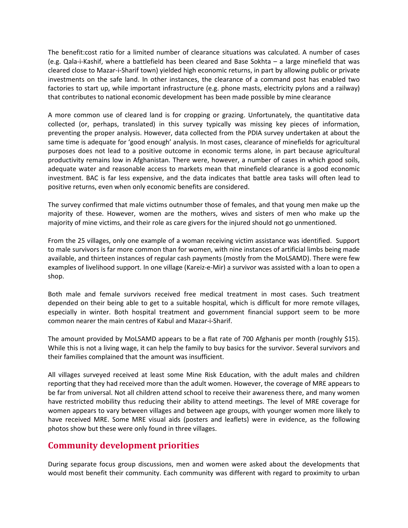The benefit:cost ratio for a limited number of clearance situations was calculated. A number of cases (e.g. Qala-i-Kashif, where a battlefield has been cleared and Base Sokhta – a large minefield that was cleared close to Mazar-i-Sharif town) yielded high economic returns, in part by allowing public or private investments on the safe land. In other instances, the clearance of a command post has enabled two factories to start up, while important infrastructure (e.g. phone masts, electricity pylons and a railway) that contributes to national economic development has been made possible by mine clearance

A more common use of cleared land is for cropping or grazing. Unfortunately, the quantitative data collected (or, perhaps, translated) in this survey typically was missing key pieces of information, preventing the proper analysis. However, data collected from the PDIA survey undertaken at about the same time is adequate for 'good enough' analysis. In most cases, clearance of minefields for agricultural purposes does not lead to a positive outcome in economic terms alone, in part because agricultural productivity remains low in Afghanistan. There were, however, a number of cases in which good soils, adequate water and reasonable access to markets mean that minefield clearance is a good economic investment. BAC is far less expensive, and the data indicates that battle area tasks will often lead to positive returns, even when only economic benefits are considered.

The survey confirmed that male victims outnumber those of females, and that young men make up the majority of these. However, women are the mothers, wives and sisters of men who make up the majority of mine victims, and their role as care givers for the injured should not go unmentioned.

From the 25 villages, only one example of a woman receiving victim assistance was identified. Support to male survivors is far more common than for women, with nine instances of artificial limbs being made available, and thirteen instances of regular cash payments (mostly from the MoLSAMD). There were few examples of livelihood support. In one village (Kareiz-e-Mir) a survivor was assisted with a loan to open a shop.

Both male and female survivors received free medical treatment in most cases. Such treatment depended on their being able to get to a suitable hospital, which is difficult for more remote villages, especially in winter. Both hospital treatment and government financial support seem to be more common nearer the main centres of Kabul and Mazar-i-Sharif.

The amount provided by MoLSAMD appears to be a flat rate of 700 Afghanis per month (roughly \$15). While this is not a living wage, it can help the family to buy basics for the survivor. Several survivors and their families complained that the amount was insufficient.

All villages surveyed received at least some Mine Risk Education, with the adult males and children reporting that they had received more than the adult women. However, the coverage of MRE appears to be far from universal. Not all children attend school to receive their awareness there, and many women have restricted mobility thus reducing their ability to attend meetings. The level of MRE coverage for women appears to vary between villages and between age groups, with younger women more likely to have received MRE. Some MRE visual aids (posters and leaflets) were in evidence, as the following photos show but these were only found in three villages.

### Community development priorities

During separate focus group discussions, men and women were asked about the developments that would most benefit their community. Each community was different with regard to proximity to urban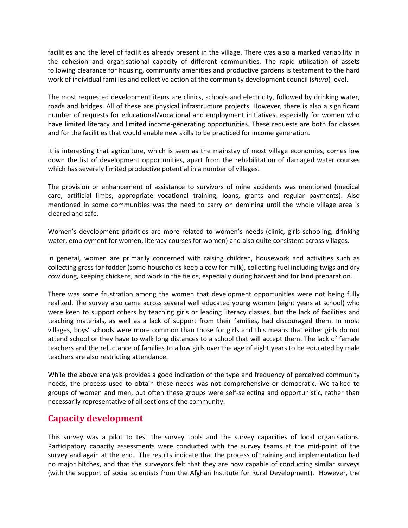facilities and the level of facilities already present in the village. There was also a marked variability in the cohesion and organisational capacity of different communities. The rapid utilisation of assets following clearance for housing, community amenities and productive gardens is testament to the hard work of individual families and collective action at the community development council (shura) level.

The most requested development items are clinics, schools and electricity, followed by drinking water, roads and bridges. All of these are physical infrastructure projects. However, there is also a significant number of requests for educational/vocational and employment initiatives, especially for women who have limited literacy and limited income-generating opportunities. These requests are both for classes and for the facilities that would enable new skills to be practiced for income generation.

It is interesting that agriculture, which is seen as the mainstay of most village economies, comes low down the list of development opportunities, apart from the rehabilitation of damaged water courses which has severely limited productive potential in a number of villages.

The provision or enhancement of assistance to survivors of mine accidents was mentioned (medical care, artificial limbs, appropriate vocational training, loans, grants and regular payments). Also mentioned in some communities was the need to carry on demining until the whole village area is cleared and safe.

Women's development priorities are more related to women's needs (clinic, girls schooling, drinking water, employment for women, literacy courses for women) and also quite consistent across villages.

In general, women are primarily concerned with raising children, housework and activities such as collecting grass for fodder (some households keep a cow for milk), collecting fuel including twigs and dry cow dung, keeping chickens, and work in the fields, especially during harvest and for land preparation.

There was some frustration among the women that development opportunities were not being fully realized. The survey also came across several well educated young women (eight years at school) who were keen to support others by teaching girls or leading literacy classes, but the lack of facilities and teaching materials, as well as a lack of support from their families, had discouraged them. In most villages, boys' schools were more common than those for girls and this means that either girls do not attend school or they have to walk long distances to a school that will accept them. The lack of female teachers and the reluctance of families to allow girls over the age of eight years to be educated by male teachers are also restricting attendance.

While the above analysis provides a good indication of the type and frequency of perceived community needs, the process used to obtain these needs was not comprehensive or democratic. We talked to groups of women and men, but often these groups were self-selecting and opportunistic, rather than necessarily representative of all sections of the community.

### Capacity development

This survey was a pilot to test the survey tools and the survey capacities of local organisations. Participatory capacity assessments were conducted with the survey teams at the mid-point of the survey and again at the end. The results indicate that the process of training and implementation had no major hitches, and that the surveyors felt that they are now capable of conducting similar surveys (with the support of social scientists from the Afghan Institute for Rural Development). However, the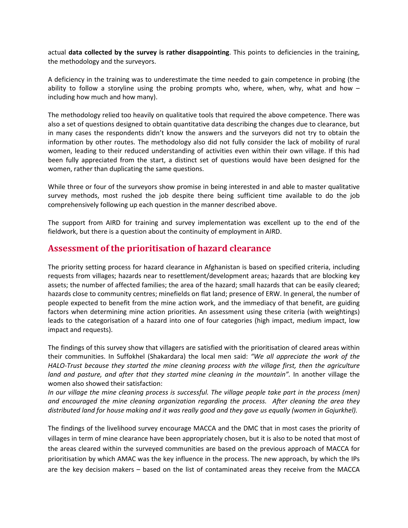actual data collected by the survey is rather disappointing. This points to deficiencies in the training, the methodology and the surveyors.

A deficiency in the training was to underestimate the time needed to gain competence in probing (the ability to follow a storyline using the probing prompts who, where, when, why, what and how  $$ including how much and how many).

The methodology relied too heavily on qualitative tools that required the above competence. There was also a set of questions designed to obtain quantitative data describing the changes due to clearance, but in many cases the respondents didn't know the answers and the surveyors did not try to obtain the information by other routes. The methodology also did not fully consider the lack of mobility of rural women, leading to their reduced understanding of activities even within their own village. If this had been fully appreciated from the start, a distinct set of questions would have been designed for the women, rather than duplicating the same questions.

While three or four of the surveyors show promise in being interested in and able to master qualitative survey methods, most rushed the job despite there being sufficient time available to do the job comprehensively following up each question in the manner described above.

The support from AIRD for training and survey implementation was excellent up to the end of the fieldwork, but there is a question about the continuity of employment in AIRD.

#### Assessment of the prioritisation of hazard clearance

The priority setting process for hazard clearance in Afghanistan is based on specified criteria, including requests from villages; hazards near to resettlement/development areas; hazards that are blocking key assets; the number of affected families; the area of the hazard; small hazards that can be easily cleared; hazards close to community centres; minefields on flat land; presence of ERW. In general, the number of people expected to benefit from the mine action work, and the immediacy of that benefit, are guiding factors when determining mine action priorities. An assessment using these criteria (with weightings) leads to the categorisation of a hazard into one of four categories (high impact, medium impact, low impact and requests).

The findings of this survey show that villagers are satisfied with the prioritisation of cleared areas within their communities. In Suffokhel (Shakardara) the local men said: "We all appreciate the work of the HALO-Trust because they started the mine cleaning process with the village first, then the agriculture land and pasture, and after that they started mine cleaning in the mountain". In another village the women also showed their satisfaction:

In our village the mine cleaning process is successful. The village people take part in the process (men) and encouraged the mine cleaning organization regarding the process. After cleaning the area they distributed land for house making and it was really good and they gave us equally (women in Gojurkhel).

The findings of the livelihood survey encourage MACCA and the DMC that in most cases the priority of villages in term of mine clearance have been appropriately chosen, but it is also to be noted that most of the areas cleared within the surveyed communities are based on the previous approach of MACCA for prioritisation by which AMAC was the key influence in the process. The new approach, by which the IPs are the key decision makers – based on the list of contaminated areas they receive from the MACCA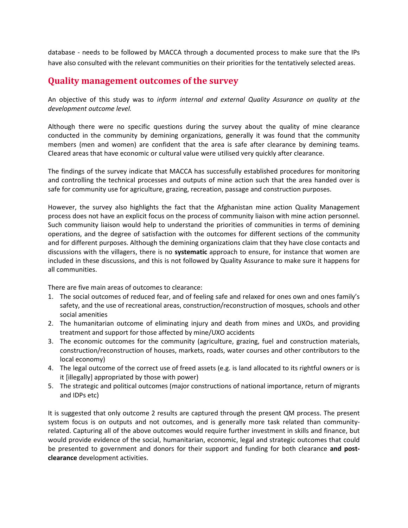database - needs to be followed by MACCA through a documented process to make sure that the IPs have also consulted with the relevant communities on their priorities for the tentatively selected areas.

#### Quality management outcomes of the survey

An objective of this study was to inform internal and external Quality Assurance on quality at the development outcome level.

Although there were no specific questions during the survey about the quality of mine clearance conducted in the community by demining organizations, generally it was found that the community members (men and women) are confident that the area is safe after clearance by demining teams. Cleared areas that have economic or cultural value were utilised very quickly after clearance.

The findings of the survey indicate that MACCA has successfully established procedures for monitoring and controlling the technical processes and outputs of mine action such that the area handed over is safe for community use for agriculture, grazing, recreation, passage and construction purposes.

However, the survey also highlights the fact that the Afghanistan mine action Quality Management process does not have an explicit focus on the process of community liaison with mine action personnel. Such community liaison would help to understand the priorities of communities in terms of demining operations, and the degree of satisfaction with the outcomes for different sections of the community and for different purposes. Although the demining organizations claim that they have close contacts and discussions with the villagers, there is no **systematic** approach to ensure, for instance that women are included in these discussions, and this is not followed by Quality Assurance to make sure it happens for all communities.

There are five main areas of outcomes to clearance:

- 1. The social outcomes of reduced fear, and of feeling safe and relaxed for ones own and ones family's safety, and the use of recreational areas, construction/reconstruction of mosques, schools and other social amenities
- 2. The humanitarian outcome of eliminating injury and death from mines and UXOs, and providing treatment and support for those affected by mine/UXO accidents
- 3. The economic outcomes for the community (agriculture, grazing, fuel and construction materials, construction/reconstruction of houses, markets, roads, water courses and other contributors to the local economy)
- 4. The legal outcome of the correct use of freed assets (e.g. is land allocated to its rightful owners or is it [illegally] appropriated by those with power)
- 5. The strategic and political outcomes (major constructions of national importance, return of migrants and IDPs etc)

It is suggested that only outcome 2 results are captured through the present QM process. The present system focus is on outputs and not outcomes, and is generally more task related than communityrelated. Capturing all of the above outcomes would require further investment in skills and finance, but would provide evidence of the social, humanitarian, economic, legal and strategic outcomes that could be presented to government and donors for their support and funding for both clearance and postclearance development activities.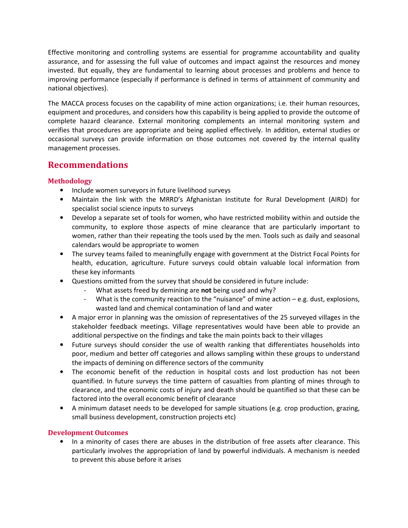Effective monitoring and controlling systems are essential for programme accountability and quality assurance, and for assessing the full value of outcomes and impact against the resources and money invested. But equally, they are fundamental to learning about processes and problems and hence to improving performance (especially if performance is defined in terms of attainment of community and national objectives).

The MACCA process focuses on the capability of mine action organizations; i.e. their human resources, equipment and procedures, and considers how this capability is being applied to provide the outcome of complete hazard clearance. External monitoring complements an internal monitoring system and verifies that procedures are appropriate and being applied effectively. In addition, external studies or occasional surveys can provide information on those outcomes not covered by the internal quality management processes.

### Recommendations

#### Methodology

- Include women surveyors in future livelihood surveys
- Maintain the link with the MRRD's Afghanistan Institute for Rural Development (AIRD) for specialist social science inputs to surveys
- Develop a separate set of tools for women, who have restricted mobility within and outside the community, to explore those aspects of mine clearance that are particularly important to women, rather than their repeating the tools used by the men. Tools such as daily and seasonal calendars would be appropriate to women
- The survey teams failed to meaningfully engage with government at the District Focal Points for health, education, agriculture. Future surveys could obtain valuable local information from these key informants
- Questions omitted from the survey that should be considered in future include:
	- What assets freed by demining are not being used and why?
	- What is the community reaction to the "nuisance" of mine action e.g. dust, explosions, wasted land and chemical contamination of land and water
- A major error in planning was the omission of representatives of the 25 surveyed villages in the stakeholder feedback meetings. Village representatives would have been able to provide an additional perspective on the findings and take the main points back to their villages
- Future surveys should consider the use of wealth ranking that differentiates households into poor, medium and better off categories and allows sampling within these groups to understand the impacts of demining on difference sectors of the community
- The economic benefit of the reduction in hospital costs and lost production has not been quantified. In future surveys the time pattern of casualties from planting of mines through to clearance, and the economic costs of injury and death should be quantified so that these can be factored into the overall economic benefit of clearance
- A minimum dataset needs to be developed for sample situations (e.g. crop production, grazing, small business development, construction projects etc)

#### Development Outcomes

• In a minority of cases there are abuses in the distribution of free assets after clearance. This particularly involves the appropriation of land by powerful individuals. A mechanism is needed to prevent this abuse before it arises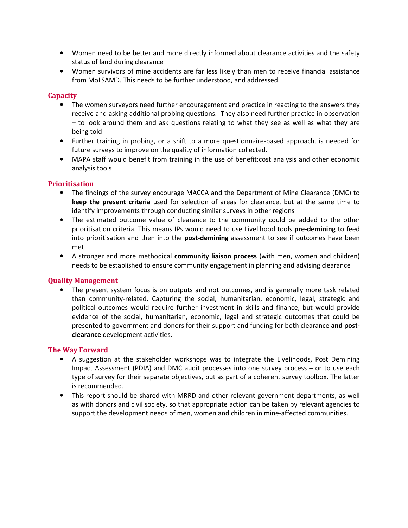- Women need to be better and more directly informed about clearance activities and the safety status of land during clearance
- Women survivors of mine accidents are far less likely than men to receive financial assistance from MoLSAMD. This needs to be further understood, and addressed.

#### **Capacity**

- The women surveyors need further encouragement and practice in reacting to the answers they receive and asking additional probing questions. They also need further practice in observation – to look around them and ask questions relating to what they see as well as what they are being told
- Further training in probing, or a shift to a more questionnaire-based approach, is needed for future surveys to improve on the quality of information collected.
- MAPA staff would benefit from training in the use of benefit:cost analysis and other economic analysis tools

#### Prioritisation

- The findings of the survey encourage MACCA and the Department of Mine Clearance (DMC) to keep the present criteria used for selection of areas for clearance, but at the same time to identify improvements through conducting similar surveys in other regions
- The estimated outcome value of clearance to the community could be added to the other prioritisation criteria. This means IPs would need to use Livelihood tools pre-demining to feed into prioritisation and then into the post-demining assessment to see if outcomes have been met
- A stronger and more methodical community liaison process (with men, women and children) needs to be established to ensure community engagement in planning and advising clearance

#### Quality Management

• The present system focus is on outputs and not outcomes, and is generally more task related than community-related. Capturing the social, humanitarian, economic, legal, strategic and political outcomes would require further investment in skills and finance, but would provide evidence of the social, humanitarian, economic, legal and strategic outcomes that could be presented to government and donors for their support and funding for both clearance and postclearance development activities.

#### The Way Forward

- A suggestion at the stakeholder workshops was to integrate the Livelihoods, Post Demining Impact Assessment (PDIA) and DMC audit processes into one survey process – or to use each type of survey for their separate objectives, but as part of a coherent survey toolbox. The latter is recommended.
- This report should be shared with MRRD and other relevant government departments, as well as with donors and civil society, so that appropriate action can be taken by relevant agencies to support the development needs of men, women and children in mine-affected communities.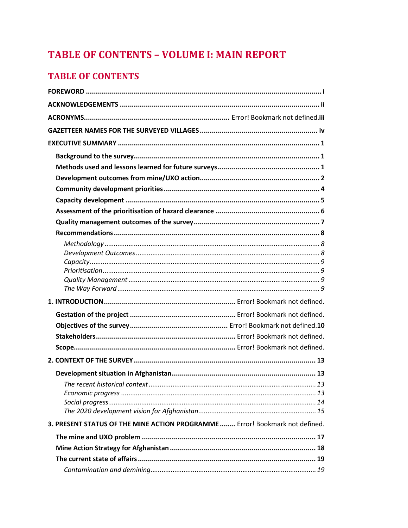# **TABLE OF CONTENTS - VOLUME I: MAIN REPORT**

## **TABLE OF CONTENTS**

|                                                                              | 13 |
|------------------------------------------------------------------------------|----|
|                                                                              |    |
|                                                                              |    |
|                                                                              |    |
| 3. PRESENT STATUS OF THE MINE ACTION PROGRAMME  Error! Bookmark not defined. |    |
|                                                                              |    |
|                                                                              |    |
|                                                                              |    |
|                                                                              |    |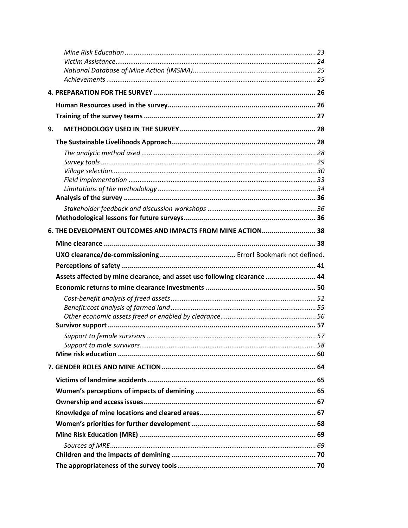| 9. |                                                                          |  |
|----|--------------------------------------------------------------------------|--|
|    |                                                                          |  |
|    |                                                                          |  |
|    |                                                                          |  |
|    |                                                                          |  |
|    |                                                                          |  |
|    |                                                                          |  |
|    |                                                                          |  |
|    |                                                                          |  |
|    | 6. THE DEVELOPMENT OUTCOMES AND IMPACTS FROM MINE ACTION 38              |  |
|    |                                                                          |  |
|    |                                                                          |  |
|    |                                                                          |  |
|    |                                                                          |  |
|    |                                                                          |  |
|    | Assets affected by mine clearance, and asset use following clearance  44 |  |
|    |                                                                          |  |
|    |                                                                          |  |
|    |                                                                          |  |
|    |                                                                          |  |
|    |                                                                          |  |
|    |                                                                          |  |
|    |                                                                          |  |
|    |                                                                          |  |
|    |                                                                          |  |
|    |                                                                          |  |
|    |                                                                          |  |
|    |                                                                          |  |
|    |                                                                          |  |
|    |                                                                          |  |
|    |                                                                          |  |
|    |                                                                          |  |
|    |                                                                          |  |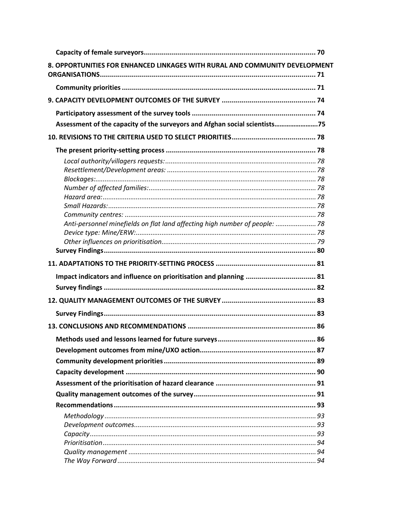| 8. OPPORTUNITIES FOR ENHANCED LINKAGES WITH RURAL AND COMMUNITY DEVELOPMENT |  |
|-----------------------------------------------------------------------------|--|
|                                                                             |  |
|                                                                             |  |
|                                                                             |  |
| Assessment of the capacity of the surveyors and Afghan social scientists75  |  |
|                                                                             |  |
|                                                                             |  |
|                                                                             |  |
|                                                                             |  |
|                                                                             |  |
|                                                                             |  |
|                                                                             |  |
|                                                                             |  |
| Anti-personnel minefields on flat land affecting high number of people:  78 |  |
|                                                                             |  |
|                                                                             |  |
|                                                                             |  |
|                                                                             |  |
|                                                                             |  |
|                                                                             |  |
|                                                                             |  |
|                                                                             |  |
|                                                                             |  |
|                                                                             |  |
|                                                                             |  |
|                                                                             |  |
|                                                                             |  |
|                                                                             |  |
|                                                                             |  |
|                                                                             |  |
|                                                                             |  |
|                                                                             |  |
|                                                                             |  |
|                                                                             |  |
|                                                                             |  |
|                                                                             |  |